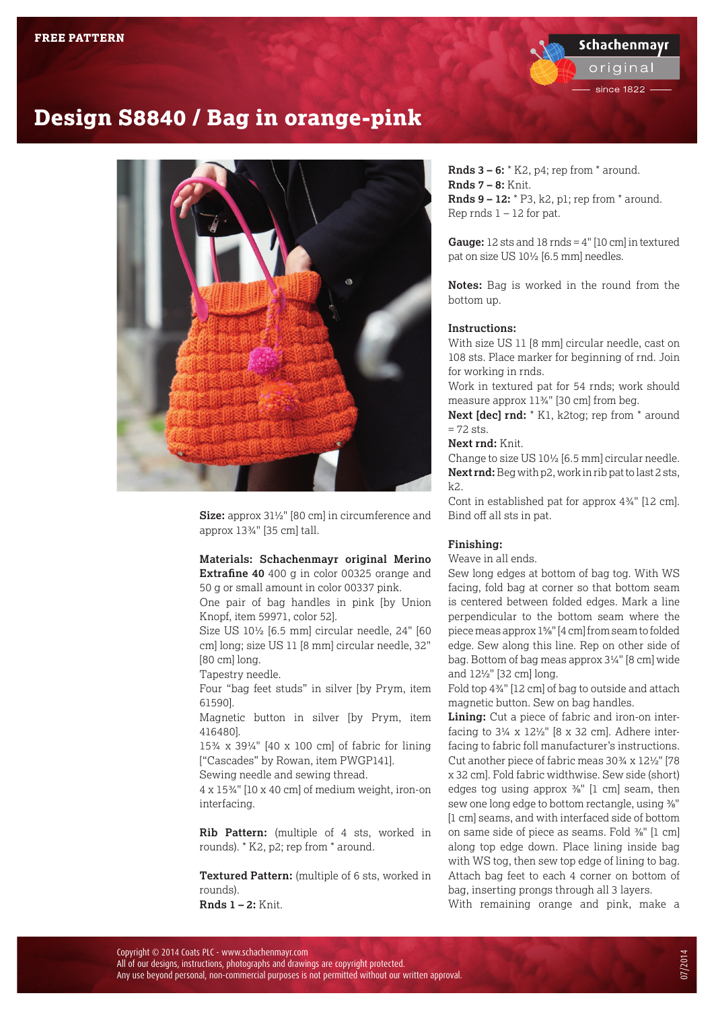origina

since 1822

## **Design S8840 / Bag in orange-pink**



**Size:** approx 31½" [80 cm] in circumference and approx 13¾" [35 cm] tall.

### **Materials: [Schachenmayr original Merino](http://us.schachenmayr.com/yarns/merino-extrafine-40)**

**[Extrafine 40](http://us.schachenmayr.com/yarns/merino-extrafine-40)** 400 g in color 00325 orange and 50 g or small amount in color 00337 pink.

One pair of bag handles in pink [by Union Knopf, item 59971, color 52].

Size US 10½ [6.5 mm] circular needle, 24" [60 cm] long; size US 11 [8 mm] circular needle, 32" [80 cm] long.

Tapestry needle.

Four "bag feet studs" in silver [by Prym, item 61590].

Magnetic button in silver [by Prym, item 416480].

15¾ x 39¼" [40 x 100 cm] of fabric for lining ["Cascades" by Rowan, item PWGP141].

Sewing needle and sewing thread.

4 x 15¾" [10 x 40 cm] of medium weight, iron-on interfacing.

**Rib Pattern:** (multiple of 4 sts, worked in rounds). \* K2, p2; rep from \* around.

**Textured Pattern:** (multiple of 6 sts, worked in rounds). **Rnds 1 – 2:** Knit.

**Rnds 3 – 6:** \* K2, p4; rep from \* around. **Rnds 7 – 8:** Knit. **Rnds 9 – 12:** \* P3, k2, p1; rep from \* around. Rep rnds  $1 - 12$  for pat.

**Gauge:** 12 sts and 18 rnds = 4" [10 cm] in textured pat on size US 10½ [6.5 mm] needles.

**Notes:** Bag is worked in the round from the bottom up.

#### **Instructions:**

With size US 11 [8 mm] circular needle, cast on 108 sts. Place marker for beginning of rnd. Join for working in rnds.

Work in textured pat for 54 rnds; work should measure approx 11¾" [30 cm] from beg.

**Next [dec] rnd:** \* K1, k2tog; rep from \* around  $= 72$  sts.

#### **Next rnd:** Knit.

Change to size US 10½ [6.5 mm] circular needle. **Next rnd:** Beg with p2, work in rib pat to last 2 sts, k2.

Cont in established pat for approx 4¾" [12 cm]. Bind off all sts in pat.

#### **Finishing:**

#### Weave in all ends.

Sew long edges at bottom of bag tog. With WS facing, fold bag at corner so that bottom seam is centered between folded edges. Mark a line perpendicular to the bottom seam where the piece meas approx 1⅝" [4 cm] from seam to folded edge. Sew along this line. Rep on other side of bag. Bottom of bag meas approx 3¼" [8 cm] wide and 12½" [32 cm] long.

Fold top 4¾" [12 cm] of bag to outside and attach magnetic button. Sew on bag handles.

**Lining:** Cut a piece of fabric and iron-on interfacing to  $3\frac{1}{4}$  x  $12\frac{1}{2}$ " [8 x 32 cm]. Adhere interfacing to fabric foll manufacturer's instructions. Cut another piece of fabric meas 30¾ x 12½" [78 x 32 cm]. Fold fabric widthwise. Sew side (short) edges tog using approx  $\frac{3}{6}$ " [1 cm] seam, then sew one long edge to bottom rectangle, using <sup>3</sup>/<sub>8</sub>" [1 cm] seams, and with interfaced side of bottom on same side of piece as seams. Fold ⅜" [1 cm] along top edge down. Place lining inside bag with WS tog, then sew top edge of lining to bag. Attach bag feet to each 4 corner on bottom of bag, inserting prongs through all 3 layers.

With remaining orange and pink, make a